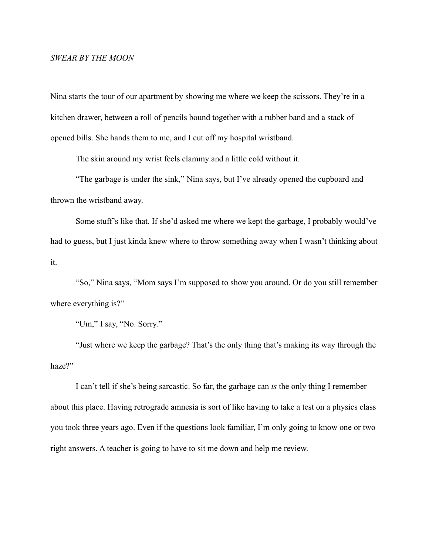## *SWEAR BY THE MOON*

Nina starts the tour of our apartment by showing me where we keep the scissors. They're in a kitchen drawer, between a roll of pencils bound together with a rubber band and a stack of opened bills. She hands them to me, and I cut off my hospital wristband.

The skin around my wrist feels clammy and a little cold without it.

 "The garbage is under the sink," Nina says, but I've already opened the cupboard and thrown the wristband away.

 Some stuff's like that. If she'd asked me where we kept the garbage, I probably would've had to guess, but I just kinda knew where to throw something away when I wasn't thinking about it.

 "So," Nina says, "Mom says I'm supposed to show you around. Or do you still remember where everything is?"

"Um," I say, "No. Sorry."

 "Just where we keep the garbage? That's the only thing that's making its way through the haze?"

 I can't tell if she's being sarcastic. So far, the garbage can *is* the only thing I remember about this place. Having retrograde amnesia is sort of like having to take a test on a physics class you took three years ago. Even if the questions look familiar, I'm only going to know one or two right answers. A teacher is going to have to sit me down and help me review.